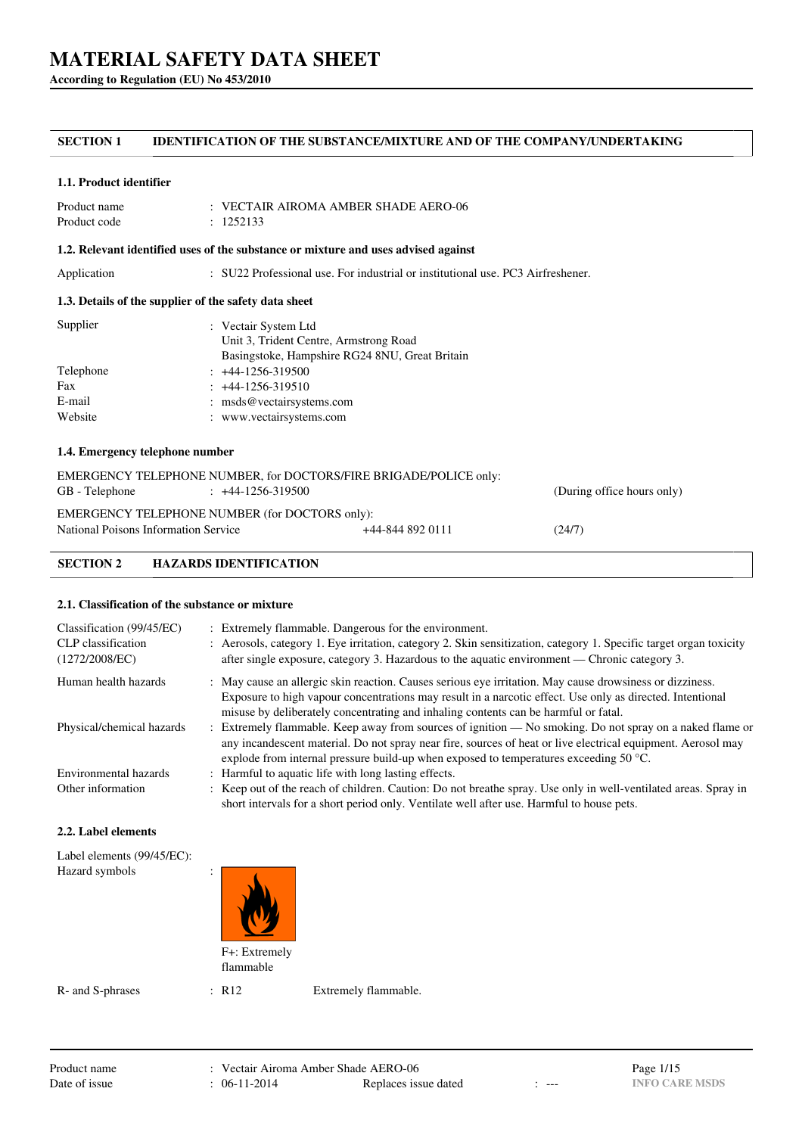**According to Regulation (EU) No 453/2010**

## **SECTION 1 IDENTIFICATION OF THE SUBSTANCE/MIXTURE AND OF THE COMPANY/UNDERTAKING**

### **1.1. Product identifier**

| Product name | $\therefore$ VECTAIR AIROMA AMBER SHADE AERO-06 |
|--------------|-------------------------------------------------|
| Product code | : 1252133                                       |

### **1.2. Relevant identified uses of the substance or mixture and uses advised against**

Application : SU22 Professional use. For industrial or institutional use. PC3 Airfreshener.

## **1.3. Details of the supplier of the safety data sheet**

| Supplier  | : Vectair System Ltd                           |
|-----------|------------------------------------------------|
|           | Unit 3, Trident Centre, Armstrong Road         |
|           | Basingstoke, Hampshire RG24 8NU, Great Britain |
| Telephone | $: +44-1256-319500$                            |
| Fax       | $: +44-1256-319510$                            |
| E-mail    | : msds@vectairsystems.com                      |
| Website   | : www.vectairsystems.com                       |

## **1.4. Emergency telephone number**

| EMERGENCY TELEPHONE NUMBER, for DOCTORS/FIRE BRIGADE/POLICE only:<br>GB - Telephone | $\div$ +44-1256-319500 |                  | (During office hours only) |
|-------------------------------------------------------------------------------------|------------------------|------------------|----------------------------|
| EMERGENCY TELEPHONE NUMBER (for DOCTORS only):                                      |                        |                  |                            |
| National Poisons Information Service                                                |                        | +44-844 892 0111 | (24/7)                     |

## **SECTION 2 HAZARDS IDENTIFICATION**

### **2.1. Classification of the substance or mixture**

| Classification (99/45/EC)<br>CLP classification<br>(1272/2008/EC) | : Extremely flammable. Dangerous for the environment.<br>: Aerosols, category 1. Eye irritation, category 2. Skin sensitization, category 1. Specific target organ toxicity<br>after single exposure, category 3. Hazardous to the aquatic environment — Chronic category 3.                                      |
|-------------------------------------------------------------------|-------------------------------------------------------------------------------------------------------------------------------------------------------------------------------------------------------------------------------------------------------------------------------------------------------------------|
| Human health hazards                                              | : May cause an allergic skin reaction. Causes serious eye irritation. May cause drowsiness or dizziness.<br>Exposure to high vapour concentrations may result in a narcotic effect. Use only as directed. Intentional<br>misuse by deliberately concentrating and inhaling contents can be harmful or fatal.      |
| Physical/chemical hazards                                         | : Extremely flammable. Keep away from sources of ignition — No smoking. Do not spray on a naked flame or<br>any incandescent material. Do not spray near fire, sources of heat or live electrical equipment. Aerosol may<br>explode from internal pressure build-up when exposed to temperatures exceeding 50 °C. |
| Environmental hazards                                             | : Harmful to aquatic life with long lasting effects.                                                                                                                                                                                                                                                              |
| Other information                                                 | : Keep out of the reach of children. Caution: Do not breathe spray. Use only in well-ventilated areas. Spray in<br>short intervals for a short period only. Ventilate well after use. Harmful to house pets.                                                                                                      |

#### **2.2. Label elements**

| Label elements (99/45/EC):<br>Hazard symbols | $\cdot$<br>$\cdot$         |  |  |
|----------------------------------------------|----------------------------|--|--|
|                                              | F+: Extremely<br>flammable |  |  |

R- and S-phrases : R12 Extremely flammable.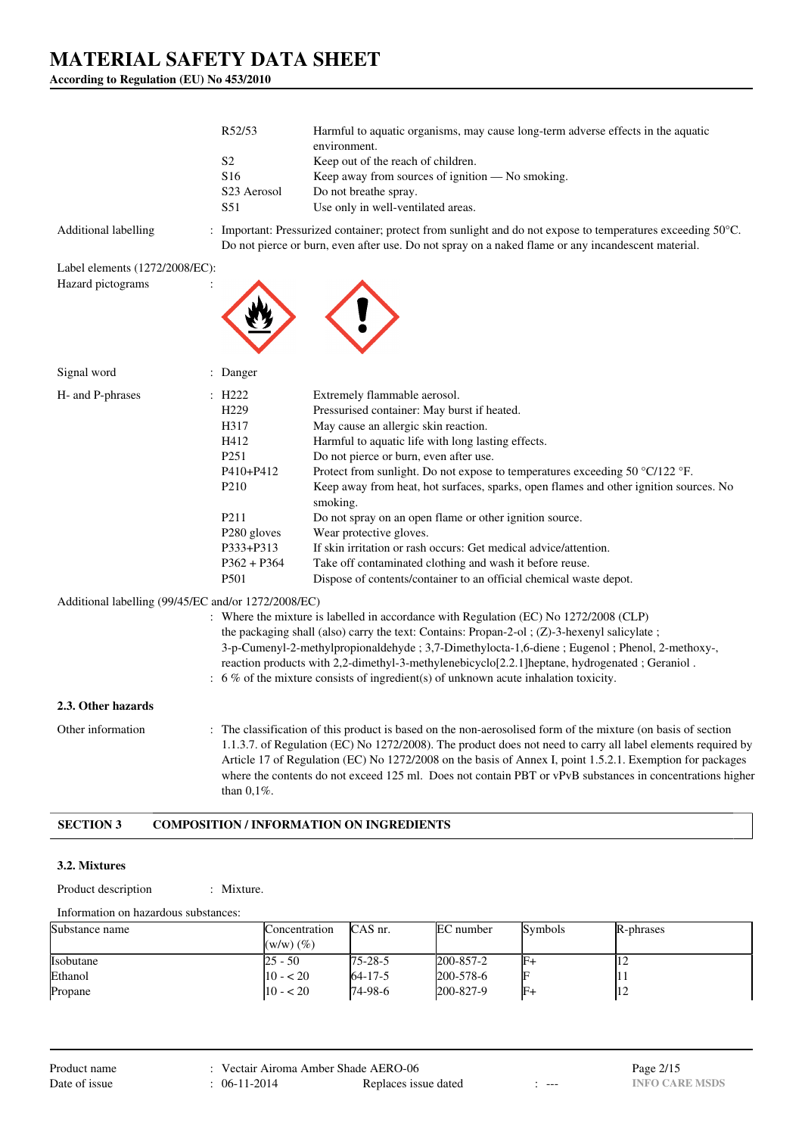**According to Regulation (EU) No 453/2010**

|                                                     | R52/53                  | Harmful to aquatic organisms, may cause long-term adverse effects in the aquatic<br>environment.                                                                                                                                                                                                                                                                                                                                                        |
|-----------------------------------------------------|-------------------------|---------------------------------------------------------------------------------------------------------------------------------------------------------------------------------------------------------------------------------------------------------------------------------------------------------------------------------------------------------------------------------------------------------------------------------------------------------|
|                                                     | S <sub>2</sub>          | Keep out of the reach of children.                                                                                                                                                                                                                                                                                                                                                                                                                      |
|                                                     | S16                     | Keep away from sources of ignition - No smoking.                                                                                                                                                                                                                                                                                                                                                                                                        |
|                                                     | S23 Aerosol             | Do not breathe spray.                                                                                                                                                                                                                                                                                                                                                                                                                                   |
|                                                     | S51                     | Use only in well-ventilated areas.                                                                                                                                                                                                                                                                                                                                                                                                                      |
| Additional labelling                                |                         | : Important: Pressurized container; protect from sunlight and do not expose to temperatures exceeding 50°C.<br>Do not pierce or burn, even after use. Do not spray on a naked flame or any incandescent material.                                                                                                                                                                                                                                       |
| Label elements (1272/2008/EC):                      |                         |                                                                                                                                                                                                                                                                                                                                                                                                                                                         |
| Hazard pictograms                                   |                         |                                                                                                                                                                                                                                                                                                                                                                                                                                                         |
| Signal word                                         | : Danger                |                                                                                                                                                                                                                                                                                                                                                                                                                                                         |
| H- and P-phrases                                    | $\pm$ H222              | Extremely flammable aerosol.                                                                                                                                                                                                                                                                                                                                                                                                                            |
|                                                     | H <sub>229</sub>        | Pressurised container: May burst if heated.                                                                                                                                                                                                                                                                                                                                                                                                             |
|                                                     | H317                    | May cause an allergic skin reaction.                                                                                                                                                                                                                                                                                                                                                                                                                    |
|                                                     | H412                    | Harmful to aquatic life with long lasting effects.                                                                                                                                                                                                                                                                                                                                                                                                      |
|                                                     | P <sub>251</sub>        | Do not pierce or burn, even after use.                                                                                                                                                                                                                                                                                                                                                                                                                  |
|                                                     | P410+P412               | Protect from sunlight. Do not expose to temperatures exceeding 50 °C/122 °F.                                                                                                                                                                                                                                                                                                                                                                            |
|                                                     | P <sub>210</sub>        | Keep away from heat, hot surfaces, sparks, open flames and other ignition sources. No<br>smoking.                                                                                                                                                                                                                                                                                                                                                       |
|                                                     | P <sub>211</sub>        | Do not spray on an open flame or other ignition source.                                                                                                                                                                                                                                                                                                                                                                                                 |
|                                                     | P <sub>280</sub> gloves | Wear protective gloves.                                                                                                                                                                                                                                                                                                                                                                                                                                 |
|                                                     | P333+P313               | If skin irritation or rash occurs: Get medical advice/attention.                                                                                                                                                                                                                                                                                                                                                                                        |
|                                                     | $P362 + P364$<br>P501   | Take off contaminated clothing and wash it before reuse.<br>Dispose of contents/container to an official chemical waste depot.                                                                                                                                                                                                                                                                                                                          |
|                                                     |                         |                                                                                                                                                                                                                                                                                                                                                                                                                                                         |
| Additional labelling (99/45/EC and/or 1272/2008/EC) |                         | : Where the mixture is labelled in accordance with Regulation (EC) No 1272/2008 (CLP)                                                                                                                                                                                                                                                                                                                                                                   |
|                                                     |                         | the packaging shall (also) carry the text: Contains: Propan-2-ol ; $(Z)$ -3-hexenyl salicylate;                                                                                                                                                                                                                                                                                                                                                         |
|                                                     |                         | 3-p-Cumenyl-2-methylpropionaldehyde; 3,7-Dimethylocta-1,6-diene; Eugenol; Phenol, 2-methoxy-,                                                                                                                                                                                                                                                                                                                                                           |
|                                                     |                         | reaction products with 2,2-dimethyl-3-methylenebicyclo[2.2.1] heptane, hydrogenated; Geraniol.                                                                                                                                                                                                                                                                                                                                                          |
|                                                     |                         | $\therefore$ 6 % of the mixture consists of ingredient(s) of unknown acute inhalation toxicity.                                                                                                                                                                                                                                                                                                                                                         |
| 2.3. Other hazards                                  |                         |                                                                                                                                                                                                                                                                                                                                                                                                                                                         |
| Other information                                   | than $0,1\%$ .          | : The classification of this product is based on the non-aerosolised form of the mixture (on basis of section<br>1.1.3.7. of Regulation (EC) No 1272/2008). The product does not need to carry all label elements required by<br>Article 17 of Regulation (EC) No 1272/2008 on the basis of Annex I, point 1.5.2.1. Exemption for packages<br>where the contents do not exceed 125 ml. Does not contain PBT or vPvB substances in concentrations higher |
| <b>SECTION 3</b>                                    |                         | <b>COMPOSITION / INFORMATION ON INGREDIENTS</b>                                                                                                                                                                                                                                                                                                                                                                                                         |

#### **3.2. Mixtures**

Product description : Mixture.

Information on hazardous substances:

| Substance name | Concentration  | CAS nr.        | EC number | Symbols | R-phrases      |
|----------------|----------------|----------------|-----------|---------|----------------|
|                | $(w/w)$ $(\%)$ |                |           |         |                |
| Isobutane      | 25 - 50        | $175 - 28 - 5$ | 200-857-2 | F-      | $\overline{1}$ |
| Ethanol        | $10 - 520$     | $64 - 17 - 5$  | 200-578-6 |         |                |
| Propane        | $10 - 20$      | 74-98-6        | 200-827-9 | IF+     | $\overline{1}$ |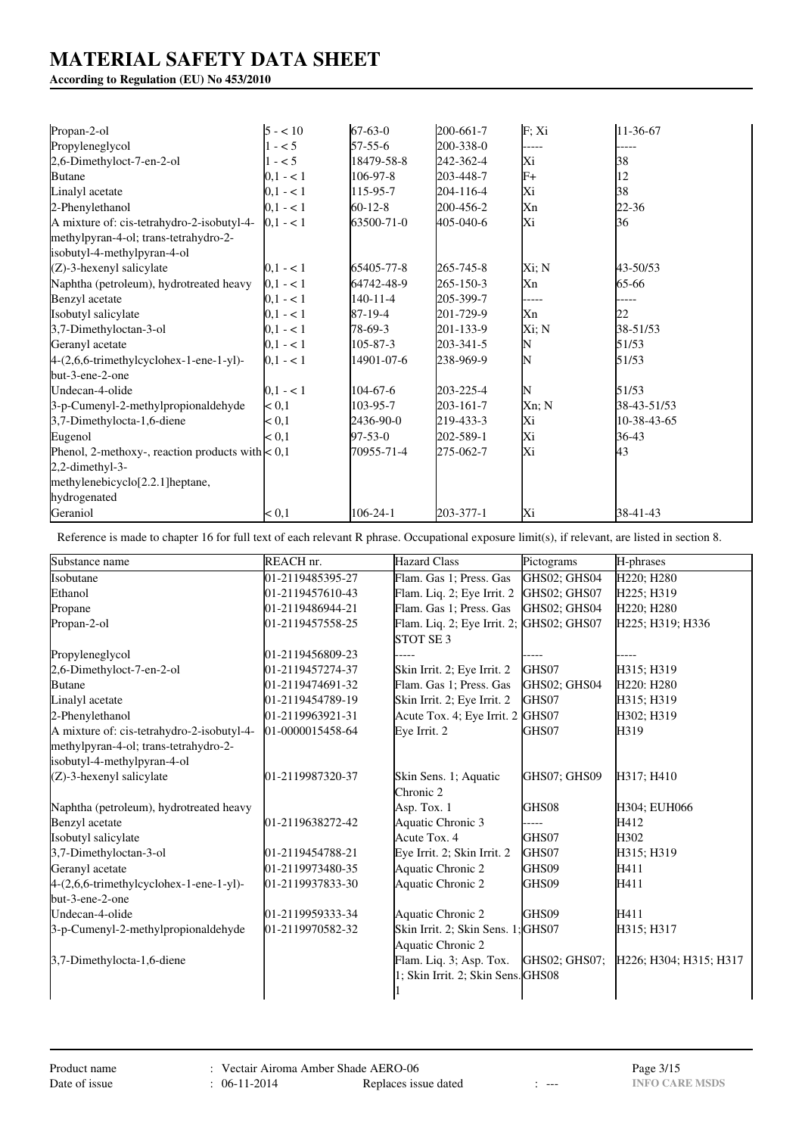## **According to Regulation (EU) No 453/2010**

| Propan-2-ol                                        | $5 - 10$  | $67 - 63 - 0$  | 200-661-7 | F;Xi  | 11-36-67    |
|----------------------------------------------------|-----------|----------------|-----------|-------|-------------|
| Propyleneglycol                                    | $1 - 5$   | $57 - 55 - 6$  | 200-338-0 |       |             |
| 2,6-Dimethyloct-7-en-2-ol                          | $1 - 5$   | 18479-58-8     | 242-362-4 | Xi    | 38          |
| <b>Butane</b>                                      | $0.1 - 1$ | 106-97-8       | 203-448-7 | $F+$  | 12          |
| Linalyl acetate                                    | $0.1 - 1$ | 115-95-7       | 204-116-4 | Хi    | 38          |
| 2-Phenylethanol                                    | $0.1 - 1$ | $60 - 12 - 8$  | 200-456-2 | Xn    | 22-36       |
| A mixture of: cis-tetrahydro-2-isobutyl-4-         | $0,1 - 1$ | 63500-71-0     | 405-040-6 | Xi    | 36          |
| methylpyran-4-ol; trans-tetrahydro-2-              |           |                |           |       |             |
| isobutyl-4-methylpyran-4-ol                        |           |                |           |       |             |
| $(Z)$ -3-hexenyl salicylate                        | $0,1 - 1$ | 65405-77-8     | 265-745-8 | Xi; N | 43-50/53    |
| Naphtha (petroleum), hydrotreated heavy            | $0,1 - 1$ | 64742-48-9     | 265-150-3 | Xn    | 65-66       |
| Benzyl acetate                                     | $0,1 - 1$ | $140 - 11 - 4$ | 205-399-7 | ----- |             |
| Isobutyl salicylate                                | $0.1 - 1$ | 87-19-4        | 201-729-9 | Xn    | 22          |
| 3,7-Dimethyloctan-3-ol                             | $0.1 - 1$ | 78-69-3        | 201-133-9 | Xi; N | 38-51/53    |
| Geranyl acetate                                    | $0.1 - 1$ | 105-87-3       | 203-341-5 | N     | 51/53       |
| $4-(2,6,6-trimethylcyclohex-1-ene-1-yl)-$          | $0,1 - 1$ | 14901-07-6     | 238-969-9 | IN    | 51/53       |
| but-3-ene-2-one                                    |           |                |           |       |             |
| Undecan-4-olide                                    | $0.1 - 1$ | 104-67-6       | 203-225-4 | IN    | 51/53       |
| 3-p-Cumenyl-2-methylpropionaldehyde                | < 0.1     | 103-95-7       | 203-161-7 | Xn; N | 38-43-51/53 |
| 3,7-Dimethylocta-1,6-diene                         | < 0,1     | 2436-90-0      | 219-433-3 | Xi    | 10-38-43-65 |
| Eugenol                                            | < 0.1     | $97 - 53 - 0$  | 202-589-1 | Xi    | 36-43       |
| Phenol, 2-methoxy-, reaction products with $< 0.1$ |           | 70955-71-4     | 275-062-7 | Xi    | 43          |
| $2,2$ -dimethyl-3-                                 |           |                |           |       |             |
| methylenebicyclo[2.2.1] heptane,                   |           |                |           |       |             |
| hydrogenated                                       |           |                |           |       |             |
| Geraniol                                           | < 0.1     | $106 - 24 - 1$ | 203-377-1 | Xi    | 38-41-43    |

Reference is made to chapter 16 for full text of each relevant R phrase. Occupational exposure limit(s), if relevant, are listed in section 8.

| Substance name                             | REACH nr.         | <b>Hazard Class</b>                                 | Pictograms    | H-phrases                           |
|--------------------------------------------|-------------------|-----------------------------------------------------|---------------|-------------------------------------|
| Isobutane                                  | 01-2119485395-27  | Flam. Gas 1; Press. Gas                             | GHS02; GHS04  | H220; H280                          |
| Ethanol                                    | 01-2119457610-43  | Flam. Liq. 2; Eye Irrit. 2                          | GHS02; GHS07  | H225; H319                          |
| Propane                                    | 01-2119486944-21  | Flam. Gas 1; Press. Gas                             | GHS02; GHS04  | H220; H280                          |
| Propan-2-ol                                | 01-2119457558-25  | Flam. Liq. 2; Eye Irrit. 2;<br>STOT SE <sub>3</sub> | GHS02; GHS07  | H225; H319; H336                    |
| Propyleneglycol                            | 01-2119456809-23  |                                                     |               |                                     |
| 2,6-Dimethyloct-7-en-2-ol                  | 01-2119457274-37  | Skin Irrit. 2; Eye Irrit. 2                         | GHS07         | H315; H319                          |
| <b>Butane</b>                              | 01-2119474691-32  | Flam. Gas 1; Press. Gas                             | GHS02; GHS04  | H <sub>220</sub> : H <sub>280</sub> |
| Linalyl acetate                            | 01-2119454789-19  | Skin Irrit. 2; Eye Irrit. 2                         | GHS07         | H315; H319                          |
| 2-Phenylethanol                            | 01-2119963921-31  | Acute Tox. 4; Eye Irrit. 2 GHS07                    |               | H302; H319                          |
| A mixture of: cis-tetrahydro-2-isobutyl-4- | 101-0000015458-64 | Eye Irrit. 2                                        | GHS07         | H319                                |
| methylpyran-4-ol; trans-tetrahydro-2-      |                   |                                                     |               |                                     |
| isobutyl-4-methylpyran-4-ol                |                   |                                                     |               |                                     |
| (Z)-3-hexenyl salicylate                   | 01-2119987320-37  | Skin Sens. 1; Aquatic<br>Chronic 2                  | GHS07: GHS09  | H317: H410                          |
| Naphtha (petroleum), hydrotreated heavy    |                   | Asp. Tox. 1                                         | GHS08         | H304; EUH066                        |
| Benzyl acetate                             | 01-2119638272-42  | Aquatic Chronic 3                                   | ----          | H412                                |
| Isobutyl salicylate                        |                   | Acute Tox. 4                                        | GHS07         | H302                                |
| 3,7-Dimethyloctan-3-ol                     | 01-2119454788-21  | Eye Irrit. 2; Skin Irrit. 2                         | GHS07         | H315; H319                          |
| Geranyl acetate                            | 01-2119973480-35  | Aquatic Chronic 2                                   | GHS09         | H411                                |
| $4-(2,6,6-trimethylcyclohex-1-ene-1-yl)-$  | 01-2119937833-30  | Aquatic Chronic 2                                   | GHS09         | H411                                |
| but-3-ene-2-one                            |                   |                                                     |               |                                     |
| Undecan-4-olide                            | 01-2119959333-34  | Aquatic Chronic 2                                   | GHS09         | H411                                |
| 3-p-Cumenyl-2-methylpropionaldehyde        | 01-2119970582-32  | Skin Irrit. 2; Skin Sens. 1; GHS07                  |               | H315; H317                          |
|                                            |                   | Aquatic Chronic 2                                   |               |                                     |
| 3,7-Dimethylocta-1,6-diene                 |                   | Flam. Liq. 3; Asp. Tox.                             | GHS02; GHS07; | H226; H304; H315; H317              |
|                                            |                   | 1; Skin Irrit. 2; Skin Sens. GHS08                  |               |                                     |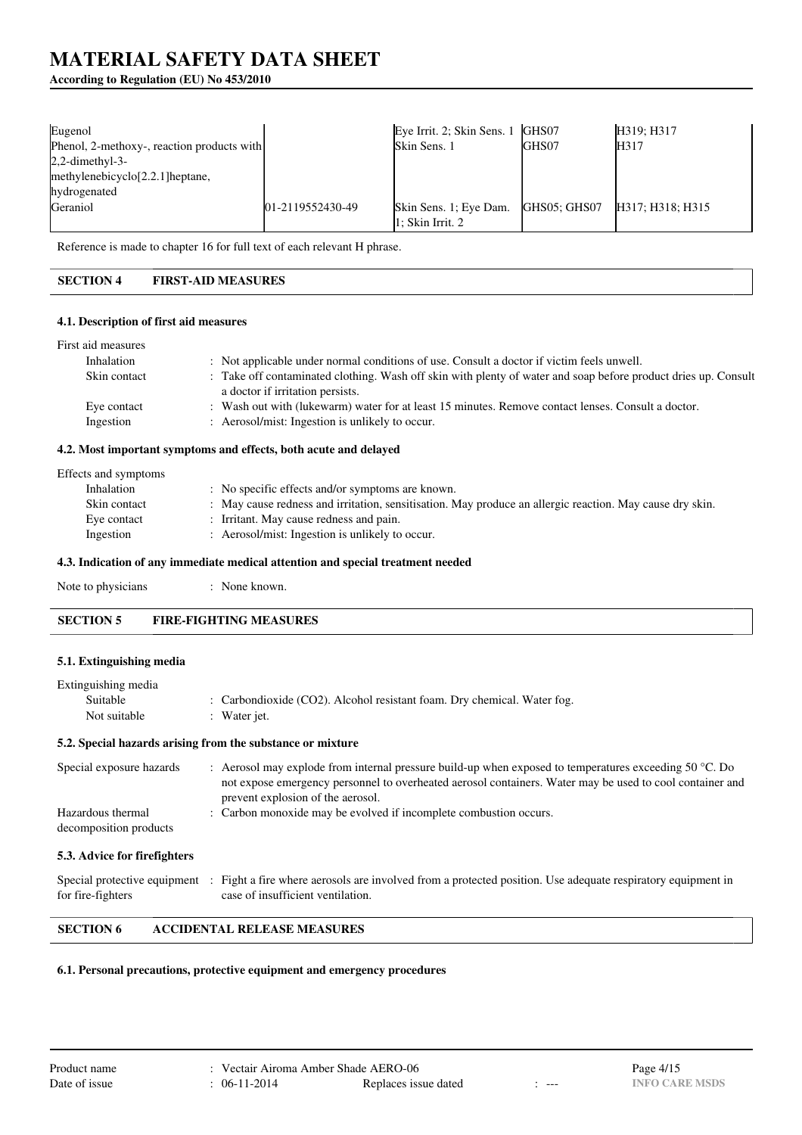## **According to Regulation (EU) No 453/2010**

| Eugenol                                      |                  | Eye Irrit. 2; Skin Sens. 1                 | GHS07        | H319: H317       |
|----------------------------------------------|------------------|--------------------------------------------|--------------|------------------|
| Phenol, 2-methoxy-, reaction products with   |                  | Skin Sens. 1                               | GHS07        | H317             |
| $2,2$ -dimethyl-3-                           |                  |                                            |              |                  |
| methylenebicyclo <sup>[2.2.1]</sup> heptane, |                  |                                            |              |                  |
| hydrogenated                                 |                  |                                            |              |                  |
| Geraniol                                     | 01-2119552430-49 | Skin Sens. 1; Eye Dam.<br>1: Skin Irrit. 2 | GHS05: GHS07 | H317; H318; H315 |

Reference is made to chapter 16 for full text of each relevant H phrase.

## **SECTION 4 FIRST-AID MEASURES**

### **4.1. Description of first aid measures**

| First aid measures |                                                                                                                                                    |
|--------------------|----------------------------------------------------------------------------------------------------------------------------------------------------|
| Inhalation         | : Not applicable under normal conditions of use. Consult a doctor if victim feels unwell.                                                          |
| Skin contact       | : Take off contaminated clothing. Wash off skin with plenty of water and soap before product dries up. Consult<br>a doctor if irritation persists. |
| Eye contact        | : Wash out with (lukewarm) water for at least 15 minutes. Remove contact lenses. Consult a doctor.                                                 |
| Ingestion          | : Aerosol/mist: Ingestion is unlikely to occur.                                                                                                    |

## **4.2. Most important symptoms and effects, both acute and delayed**

| Effects and symptoms |                                                                                                          |
|----------------------|----------------------------------------------------------------------------------------------------------|
| Inhalation           | : No specific effects and/or symptoms are known.                                                         |
| Skin contact         | : May cause redness and irritation, sensitisation. May produce an allergic reaction. May cause dry skin. |
| Eye contact          | : Irritant. May cause redness and pain.                                                                  |
| Ingestion            | : Aerosol/mist: Ingestion is unlikely to occur.                                                          |
|                      |                                                                                                          |

### **4.3. Indication of any immediate medical attention and special treatment needed**

| Note to physicians | None known. |
|--------------------|-------------|
|--------------------|-------------|

## **SECTION 5 FIRE-FIGHTING MEASURES**

#### **5.1. Extinguishing media**

| Extinguishing media                         |                                                                                                                                                                                                                                                                   |
|---------------------------------------------|-------------------------------------------------------------------------------------------------------------------------------------------------------------------------------------------------------------------------------------------------------------------|
| Suitable                                    | : Carbondioxide (CO2). Alcohol resistant foam. Dry chemical. Water fog.                                                                                                                                                                                           |
| Not suitable                                | : Water jet.                                                                                                                                                                                                                                                      |
|                                             | 5.2. Special hazards arising from the substance or mixture                                                                                                                                                                                                        |
| Special exposure hazards                    | : Aerosol may explode from internal pressure build-up when exposed to temperatures exceeding 50 $^{\circ}$ C. Do<br>not expose emergency personnel to overheated aerosol containers. Water may be used to cool container and<br>prevent explosion of the aerosol. |
| Hazardous thermal<br>decomposition products | : Carbon monoxide may be evolved if incomplete combustion occurs.                                                                                                                                                                                                 |

## **5.3. Advice for firefighters**

|                   | Special protective equipment : Fight a fire where aerosols are involved from a protected position. Use adequate respiratory equipment in |
|-------------------|------------------------------------------------------------------------------------------------------------------------------------------|
| for fire-fighters | case of insufficient ventilation.                                                                                                        |

## **SECTION 6 ACCIDENTAL RELEASE MEASURES**

#### **6.1. Personal precautions, protective equipment and emergency procedures**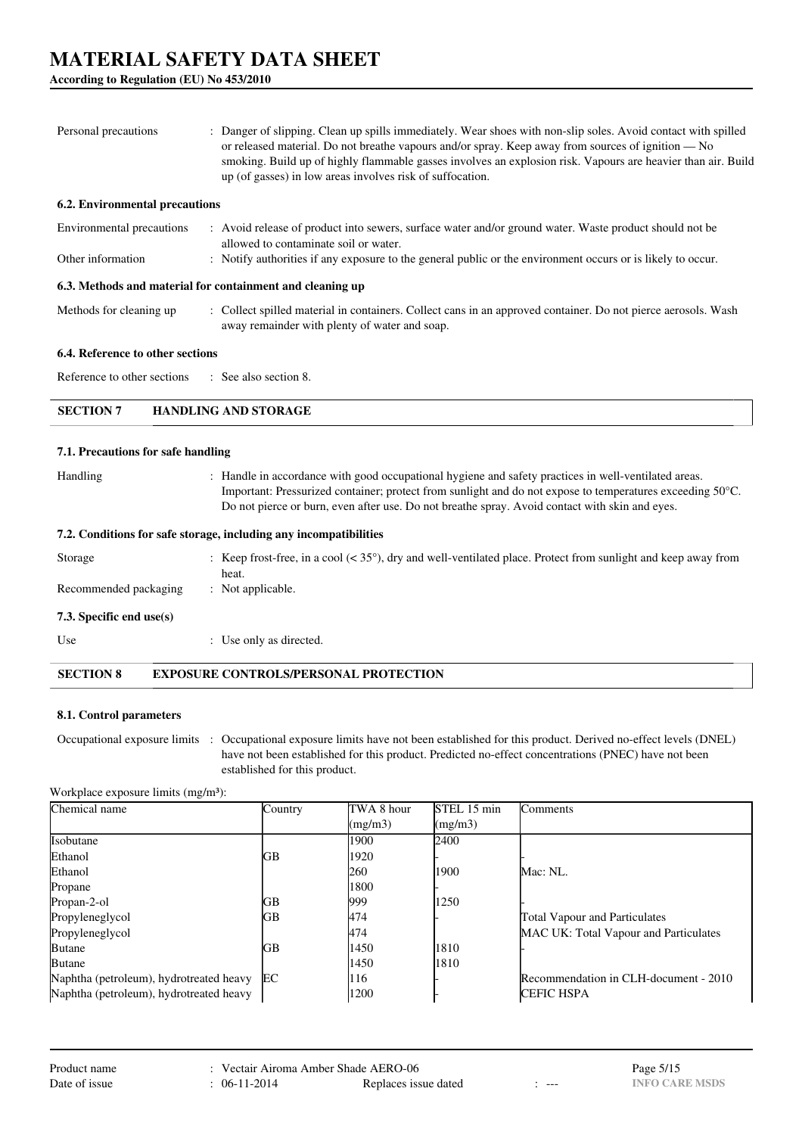**According to Regulation (EU) No 453/2010**

| Personal precautions                                                                                                                                                                                                                                                                                                            | Danger of slipping. Clean up spills immediately. Wear shoes with non-slip soles. Avoid contact with spilled<br>or released material. Do not breathe vapours and/or spray. Keep away from sources of ignition — No<br>smoking. Build up of highly flammable gasses involves an explosion risk. Vapours are heavier than air. Build<br>up (of gasses) in low areas involves risk of suffocation. |  |  |
|---------------------------------------------------------------------------------------------------------------------------------------------------------------------------------------------------------------------------------------------------------------------------------------------------------------------------------|------------------------------------------------------------------------------------------------------------------------------------------------------------------------------------------------------------------------------------------------------------------------------------------------------------------------------------------------------------------------------------------------|--|--|
| <b>6.2. Environmental precautions</b>                                                                                                                                                                                                                                                                                           |                                                                                                                                                                                                                                                                                                                                                                                                |  |  |
| Environmental precautions                                                                                                                                                                                                                                                                                                       | : Avoid release of product into sewers, surface water and/or ground water. Waste product should not be<br>allowed to contaminate soil or water.                                                                                                                                                                                                                                                |  |  |
| Other information                                                                                                                                                                                                                                                                                                               | : Notify authorities if any exposure to the general public or the environment occurs or is likely to occur.                                                                                                                                                                                                                                                                                    |  |  |
| 6.3. Methods and material for containment and cleaning up                                                                                                                                                                                                                                                                       |                                                                                                                                                                                                                                                                                                                                                                                                |  |  |
| Methods for cleaning up                                                                                                                                                                                                                                                                                                         | : Collect spilled material in containers. Collect cans in an approved container. Do not pierce aerosols. Wash<br>away remainder with plenty of water and soap.                                                                                                                                                                                                                                 |  |  |
| 6.4. Reference to other sections                                                                                                                                                                                                                                                                                                |                                                                                                                                                                                                                                                                                                                                                                                                |  |  |
| Reference to other sections                                                                                                                                                                                                                                                                                                     | : See also section 8.                                                                                                                                                                                                                                                                                                                                                                          |  |  |
| <b>SECTION 7</b>                                                                                                                                                                                                                                                                                                                | <b>HANDLING AND STORAGE</b>                                                                                                                                                                                                                                                                                                                                                                    |  |  |
| 7.1. Precautions for safe handling                                                                                                                                                                                                                                                                                              |                                                                                                                                                                                                                                                                                                                                                                                                |  |  |
| : Handle in accordance with good occupational hygiene and safety practices in well-ventilated areas.<br>Handling<br>Important: Pressurized container; protect from sunlight and do not expose to temperatures exceeding 50°C.<br>Do not pierce or burn, even after use. Do not breathe spray. Avoid contact with skin and eyes. |                                                                                                                                                                                                                                                                                                                                                                                                |  |  |
|                                                                                                                                                                                                                                                                                                                                 | 7.2. Conditions for safe storage, including any incompatibilities                                                                                                                                                                                                                                                                                                                              |  |  |
| Storage                                                                                                                                                                                                                                                                                                                         | : Keep frost-free, in a cool $(35^{\circ}),$ dry and well-ventilated place. Protect from sunlight and keep away from<br>heat.                                                                                                                                                                                                                                                                  |  |  |

Recommended packaging : Not applicable.

**7.3. Specific end use(s)**

Use  $\qquad \qquad$  : Use only as directed.

**SECTION 8 EXPOSURE CONTROLS/PERSONAL PROTECTION**

## **8.1. Control parameters**

Occupational exposure limits : Occupational exposure limits have not been established for this product. Derived no-effect levels (DNEL) have not been established for this product. Predicted no-effect concentrations (PNEC) have not been established for this product.

Workplace exposure limits (mg/m<sup>3</sup>):

| Chemical name                           | Country | TWA 8 hour | STEL 15 min | Comments                              |
|-----------------------------------------|---------|------------|-------------|---------------------------------------|
|                                         |         | (mg/m3)    | (mg/m3)     |                                       |
| <b>Isobutane</b>                        |         | 1900       | 2400        |                                       |
| Ethanol                                 | GВ      | 1920       |             |                                       |
| Ethanol                                 |         | 260        | 1900        | Mac: NL.                              |
| Propane                                 |         | 1800       |             |                                       |
| Propan-2-ol                             | GВ      | 999        | 1250        |                                       |
| Propyleneglycol                         | GВ      | 474        |             | <b>Total Vapour and Particulates</b>  |
| Propyleneglycol                         |         | 474        |             | MAC UK: Total Vapour and Particulates |
| <b>Butane</b>                           | GВ      | 1450       | 1810        |                                       |
| <b>Butane</b>                           |         | 1450       | 1810        |                                       |
| Naphtha (petroleum), hydrotreated heavy | EC      | 116        |             | Recommendation in CLH-document - 2010 |
| Naphtha (petroleum), hydrotreated heavy |         | 1200       |             | <b>CEFIC HSPA</b>                     |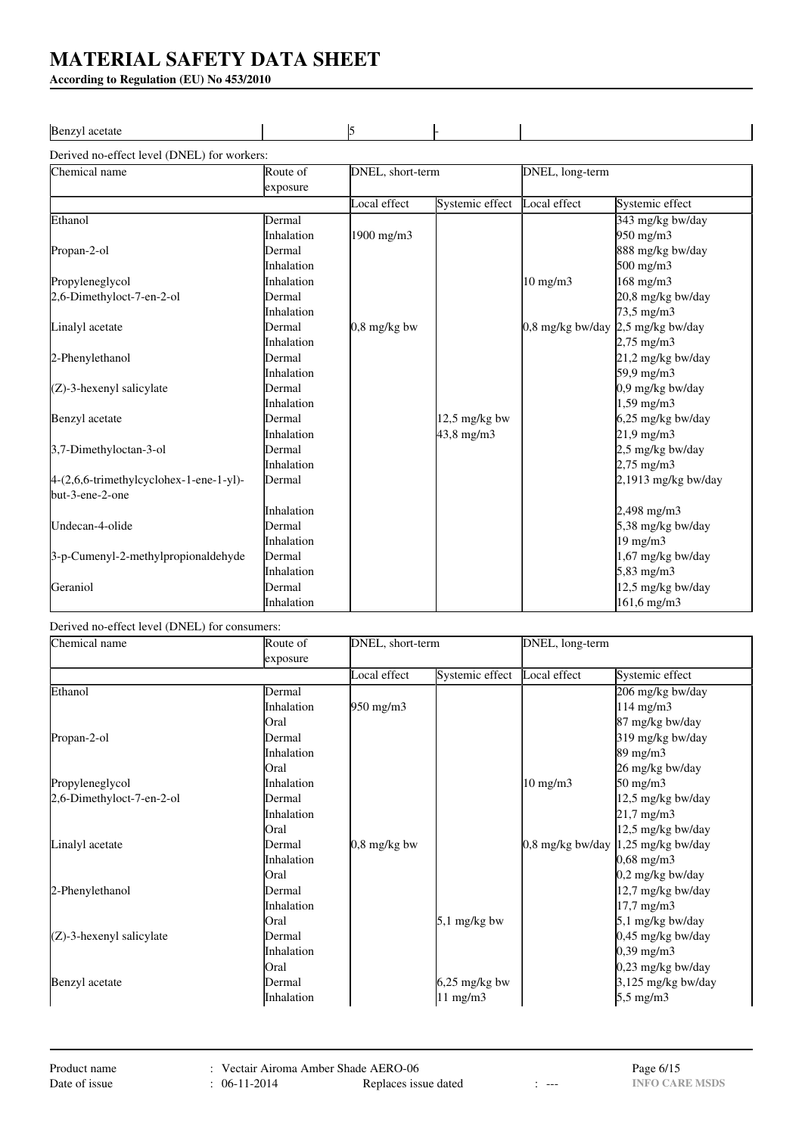**According to Regulation (EU) No 453/2010**

| Ben.<br>. <del>.</del><br>. |  |  |
|-----------------------------|--|--|
|                             |  |  |

Derived no-effect level (DNEL) for workers:

| Chemical name                             | Route of          | DNEL, short-term |                     | DNEL, long-term                   |                     |
|-------------------------------------------|-------------------|------------------|---------------------|-----------------------------------|---------------------|
|                                           | exposure          |                  |                     |                                   |                     |
|                                           |                   | Local effect     | Systemic effect     | Local effect                      | Systemic effect     |
| Ethanol                                   | Dermal            |                  |                     |                                   | 343 mg/kg bw/day    |
|                                           | <i>Inhalation</i> | 1900 mg/m3       |                     |                                   | 950 mg/m3           |
| Propan-2-ol                               | Dermal            |                  |                     |                                   | 888 mg/kg bw/day    |
|                                           | Inhalation        |                  |                     |                                   | $500 \text{ mg/m}$  |
| Propyleneglycol                           | Inhalation        |                  |                     | $10 \text{ mg/m}$                 | $168$ mg/m $3$      |
| 2,6-Dimethyloct-7-en-2-ol                 | Dermal            |                  |                     |                                   | 20,8 mg/kg bw/day   |
|                                           | Inhalation        |                  |                     |                                   | 73,5 mg/m3          |
| Linalyl acetate                           | Dermal            | $0.8$ mg/kg bw   |                     | 0,8 mg/kg bw/day 2,5 mg/kg bw/day |                     |
|                                           | Inhalation        |                  |                     |                                   | $2,75 \text{ mg/m}$ |
| 2-Phenylethanol                           | Dermal            |                  |                     |                                   | 21,2 mg/kg bw/day   |
|                                           | Inhalation        |                  |                     |                                   | 59,9 mg/m3          |
| $(Z)$ -3-hexenyl salicylate               | Dermal            |                  |                     |                                   | 0,9 mg/kg bw/day    |
|                                           | Inhalation        |                  |                     |                                   | $1,59$ mg/m $3$     |
| Benzyl acetate                            | Dermal            |                  | $12.5$ mg/kg bw     |                                   | 6,25 mg/kg bw/day   |
|                                           | Inhalation        |                  | $43,8 \text{ mg/m}$ |                                   | $21,9$ mg/m $3$     |
| 3,7-Dimethyloctan-3-ol                    | Dermal            |                  |                     |                                   | 2,5 mg/kg bw/day    |
|                                           | Inhalation        |                  |                     |                                   | $2,75$ mg/m $3$     |
| $4-(2,6,6-trimethylcyclohex-1-ene-1-yl)-$ | Dermal            |                  |                     |                                   | 2,1913 mg/kg bw/day |
| but-3-ene-2-one                           |                   |                  |                     |                                   |                     |
|                                           | Inhalation        |                  |                     |                                   | $2,498$ mg/m $3$    |
| Undecan-4-olide                           | Dermal            |                  |                     |                                   | 5,38 mg/kg bw/day   |
|                                           | Inhalation        |                  |                     |                                   | $19 \text{ mg/m}$   |
| 3-p-Cumenyl-2-methylpropionaldehyde       | Dermal            |                  |                     |                                   | 1,67 mg/kg bw/day   |
|                                           | Inhalation        |                  |                     |                                   | 5,83 mg/m3          |
| Geraniol                                  | Dermal            |                  |                     |                                   | 12,5 mg/kg bw/day   |
|                                           | Inhalation        |                  |                     |                                   | 161,6 mg/m3         |

## Derived no-effect level (DNEL) for consumers:

| Chemical name               | DNEL, short-term<br>Route of<br>exposure |                    | DNEL, long-term   |                   |                                        |
|-----------------------------|------------------------------------------|--------------------|-------------------|-------------------|----------------------------------------|
|                             |                                          |                    |                   |                   |                                        |
|                             |                                          | Local effect       | Systemic effect   | Local effect      | Systemic effect                        |
| Ethanol                     | Dermal                                   |                    |                   |                   | 206 mg/kg bw/day                       |
|                             | Inhalation                               | $950 \text{ mg/m}$ |                   |                   | $114 \text{ mg/m}$                     |
|                             | Oral                                     |                    |                   |                   | 87 mg/kg bw/day                        |
| Propan-2-ol                 | Dermal                                   |                    |                   |                   | 319 mg/kg bw/day                       |
|                             | <b>Inhalation</b>                        |                    |                   |                   | 89 mg/m3                               |
|                             | Oral                                     |                    |                   |                   | 26 mg/kg bw/day                        |
| Propyleneglycol             | Inhalation                               |                    |                   | $10 \text{ mg/m}$ | $50 \text{ mg/m}$ 3                    |
| 2,6-Dimethyloct-7-en-2-ol   | Dermal                                   |                    |                   |                   | 12,5 mg/kg bw/day                      |
|                             | <i>Inhalation</i>                        |                    |                   |                   | $21,7 \text{ mg/m}$ 3                  |
|                             | Oral                                     |                    |                   |                   | 12,5 mg/kg bw/day                      |
| Linalyl acetate             | Dermal                                   | $0.8$ mg/kg bw     |                   |                   | $0.8$ mg/kg bw/day $1.25$ mg/kg bw/day |
|                             | <i>Inhalation</i>                        |                    |                   |                   | $0,68 \text{ mg/m}$ 3                  |
|                             | Oral                                     |                    |                   |                   | 0,2 mg/kg bw/day                       |
| 2-Phenylethanol             | Dermal                                   |                    |                   |                   | 12,7 mg/kg bw/day                      |
|                             | Inhalation                               |                    |                   |                   | $17,7$ mg/m $3$                        |
|                             | Oral                                     |                    | $5,1$ mg/kg bw    |                   | 5,1 mg/kg bw/day                       |
| $(Z)$ -3-hexenyl salicylate | Dermal                                   |                    |                   |                   | 0,45 mg/kg bw/day                      |
|                             | Inhalation                               |                    |                   |                   | $0,39$ mg/m $3$                        |
|                             | Oral                                     |                    |                   |                   | 0,23 mg/kg bw/day                      |
| Benzyl acetate              | Dermal                                   |                    | $6,25$ mg/kg bw   |                   | 3,125 mg/kg bw/day                     |
|                             | Inhalation                               |                    | $11 \text{ mg/m}$ |                   | 5,5 mg/m3                              |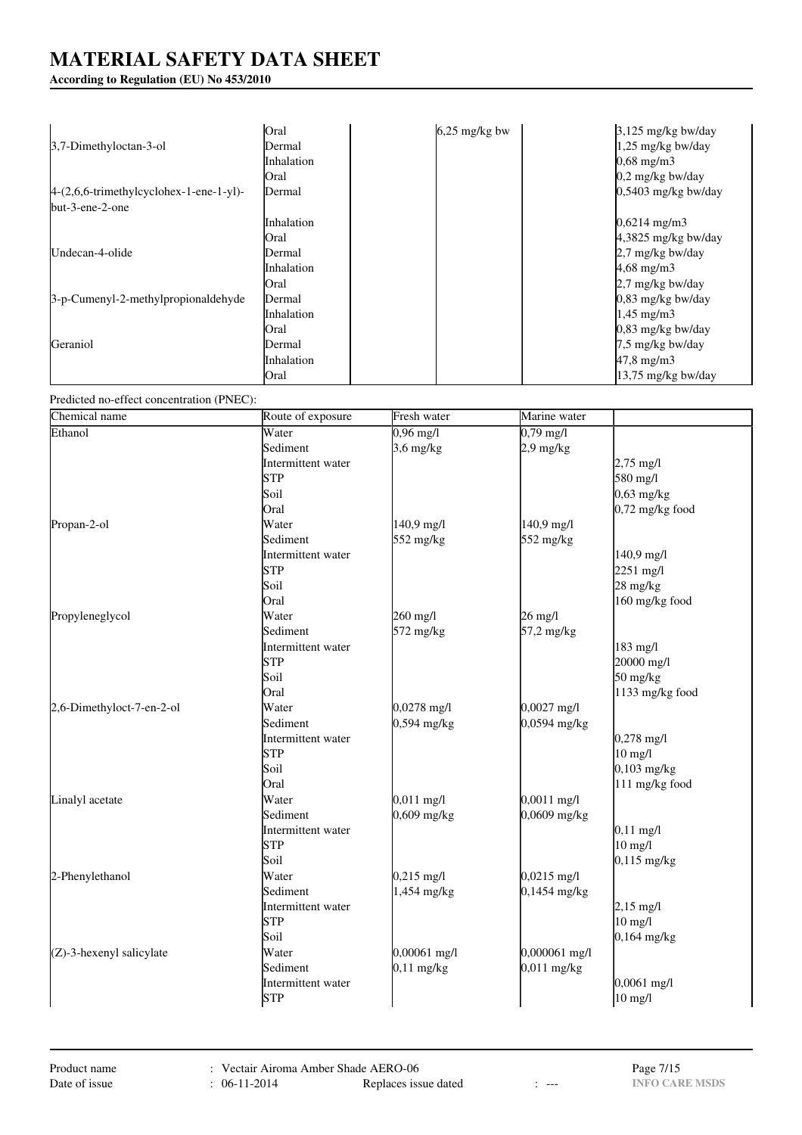## **According to Regulation (EU) No 453/2010**

|                                          | Oral              | $6,25$ mg/kg bw | $3,125$ mg/kg bw/day    |
|------------------------------------------|-------------------|-----------------|-------------------------|
| 3,7-Dimethyloctan-3-ol                   | Dermal            |                 | 1,25 mg/kg bw/day       |
|                                          | <b>Inhalation</b> |                 | $0,68 \text{ mg/m}$ 3   |
|                                          | Oral              |                 | $0,2$ mg/kg bw/day      |
| $4-(2,6,6-trimethylcyclohex-1-ene-1-yl)$ | Dermal            |                 | $0.5403$ mg/kg bw/day   |
| $but-3-ene-2-one$                        |                   |                 |                         |
|                                          | Inhalation        |                 | $0,6214 \text{ mg/m}$ 3 |
|                                          | Oral              |                 | $4,3825$ mg/kg bw/day   |
| Undecan-4-olide                          | Dermal            |                 | 2,7 mg/kg bw/day        |
|                                          | Inhalation        |                 | $4,68 \text{ mg/m}$ 3   |
|                                          | Oral              |                 | 2,7 mg/kg bw/day        |
| 3-p-Cumenyl-2-methylpropionaldehyde      | Dermal            |                 | $0.83$ mg/kg bw/day     |
|                                          | Inhalation        |                 | $1,45 \text{ mg/m}$ 3   |
|                                          | Oral              |                 | $0.83$ mg/kg bw/day     |
| Geraniol                                 | Dermal            |                 | 7,5 mg/kg bw/day        |
|                                          | Inhalation        |                 | 47,8 mg/m3              |
|                                          | Oral              |                 | $13,75$ mg/kg bw/day    |

Predicted no-effect concentration (PNEC):

| Chemical name             | Route of exposure  | Fresh water         | Marine water        |                                  |
|---------------------------|--------------------|---------------------|---------------------|----------------------------------|
| Ethanol                   | Water              | $0,96 \text{ mg/l}$ | $0,79 \text{ mg/l}$ |                                  |
|                           | Sediment           | $3,6$ mg/kg         | $2.9$ mg/kg         |                                  |
|                           | Intermittent water |                     |                     | $2,75 \text{ mg/l}$              |
|                           | <b>STP</b>         |                     |                     | 580 mg/l                         |
|                           | Soil               |                     |                     | $0,63$ mg/kg                     |
|                           | Oral               |                     |                     | $0,72$ mg/kg food                |
| Propan-2-ol               | Water              | 140,9 mg/l          | 140,9 mg/l          |                                  |
|                           | Sediment           | 552 mg/kg           | 552 mg/kg           |                                  |
|                           | Intermittent water |                     |                     | 140,9 mg/l                       |
|                           | <b>STP</b>         |                     |                     | $2251 \text{ mg/l}$              |
|                           | Soil               |                     |                     | 28 mg/kg                         |
|                           | Oral               |                     |                     | 160 mg/kg food                   |
| Propyleneglycol           | Water              | 260 mg/l            | $26 \text{ mg/l}$   |                                  |
|                           | Sediment           | 572 mg/kg           | 57,2 mg/kg          |                                  |
|                           | Intermittent water |                     |                     | 183 mg/l                         |
|                           | <b>STP</b>         |                     |                     | 20000 mg/l                       |
|                           | Soil               |                     |                     | $50 \frac{\text{mg}}{\text{kg}}$ |
|                           | Oral               |                     |                     | 1133 mg/kg food                  |
| 2,6-Dimethyloct-7-en-2-ol | Water              | $0,0278$ mg/l       | $0,0027$ mg/l       |                                  |
|                           | Sediment           | $0,594$ mg/kg       | 0,0594 mg/kg        |                                  |
|                           | Intermittent water |                     |                     | $0,278 \text{ mg/l}$             |
|                           | STP                |                     |                     | $10$ mg/l                        |
|                           | Soil               |                     |                     | $0,103$ mg/kg                    |
|                           | Oral               |                     |                     | 111 mg/kg food                   |
| Linalyl acetate           | Water              | $0,011$ mg/l        | $0,0011$ mg/l       |                                  |
|                           | Sediment           | $0,609$ mg/kg       | 0,0609 mg/kg        |                                  |
|                           | Intermittent water |                     |                     | $0,11$ mg/l                      |
|                           | <b>STP</b>         |                     |                     | $10 \text{ mg/l}$                |
|                           | Soil               |                     |                     | $0,115$ mg/kg                    |
| 2-Phenylethanol           | Water              | $0,215$ mg/l        | $0,0215$ mg/l       |                                  |
|                           | Sediment           | 1,454 mg/kg         | $0,1454$ mg/kg      |                                  |
|                           | Intermittent water |                     |                     | $2,15 \text{ mg/l}$              |
|                           | <b>STP</b>         |                     |                     | $10 \text{ mg/l}$                |
|                           | Soil               |                     |                     | $0,164$ mg/kg                    |
| (Z)-3-hexenyl salicylate  | Water              | 0,00061 mg/l        | 0,000061 mg/l       |                                  |
|                           | Sediment           | $0,11$ mg/kg        | 0,011 mg/kg         |                                  |
|                           | Intermittent water |                     |                     | $0,0061$ mg/l                    |
|                           | <b>STP</b>         |                     |                     | $10$ mg/l                        |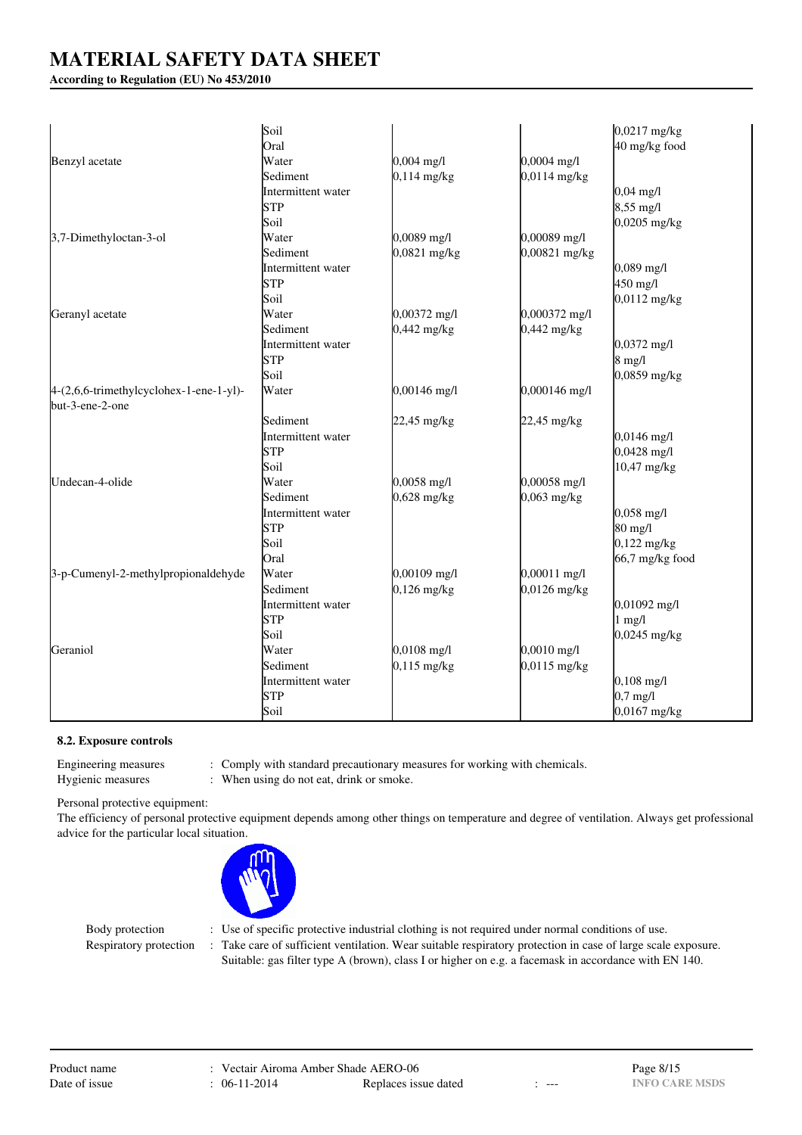**According to Regulation (EU) No 453/2010**

|                                         | Soil                      |                      |               | $0,0217$ mg/kg       |
|-----------------------------------------|---------------------------|----------------------|---------------|----------------------|
|                                         | Oral                      |                      |               | 40 mg/kg food        |
| Benzyl acetate                          | Water                     | $0,004 \text{ mg}/1$ | 0,0004 mg/l   |                      |
|                                         | Sediment                  | $0,114$ mg/kg        | 0,0114 mg/kg  |                      |
|                                         | Intermittent water        |                      |               | $0,04 \text{ mg/l}$  |
|                                         | STP                       |                      |               | $8,55$ mg/l          |
|                                         | Soil                      |                      |               | $0,0205$ mg/kg       |
| 3,7-Dimethyloctan-3-ol                  | Water                     | $0,0089$ mg/l        | 0,00089 mg/l  |                      |
|                                         | Sediment                  | 0,0821 mg/kg         | 0,00821 mg/kg |                      |
|                                         | Intermittent water        |                      |               | $0,089$ mg/l         |
|                                         | STP                       |                      |               | 450 mg/l             |
|                                         | Soil                      |                      |               | $0,0112$ mg/kg       |
| Geranyl acetate                         | Water                     | 0,00372 mg/l         | 0,000372 mg/l |                      |
|                                         | Sediment                  | $0,442$ mg/kg        | $0,442$ mg/kg |                      |
|                                         | Intermittent water        |                      |               | $0,0372$ mg/l        |
|                                         | STP                       |                      |               | $8 \text{ mg}/1$     |
|                                         | Soil                      |                      |               | $0,0859$ mg/kg       |
| 4-(2,6,6-trimethylcyclohex-1-ene-1-yl)- | Water                     | $0,00146$ mg/l       | 0,000146 mg/l |                      |
| but-3-ene-2-one                         |                           |                      |               |                      |
|                                         | Sediment                  | 22,45 mg/kg          | 22,45 mg/kg   |                      |
|                                         |                           |                      |               | $0,0146$ mg/l        |
|                                         | Intermittent water<br>STP |                      |               | $0,0428$ mg/l        |
|                                         | Soil                      |                      |               |                      |
|                                         |                           |                      |               | 10,47 mg/kg          |
| Undecan-4-olide                         | Water                     | $0,0058$ mg/l        | 0,00058 mg/l  |                      |
|                                         | Sediment                  | $0,628$ mg/kg        | $0,063$ mg/kg |                      |
|                                         | Intermittent water        |                      |               | $0,058 \text{ mg/l}$ |
|                                         | STP                       |                      |               | 80 mg/l              |
|                                         | Soil                      |                      |               | $0,122$ mg/kg        |
|                                         | Oral                      |                      |               | $66,7$ mg/kg food    |
| 3-p-Cumenyl-2-methylpropionaldehyde     | Water                     | $0,00109$ mg/l       | 0,00011 mg/l  |                      |
|                                         | Sediment                  | $0,126$ mg/kg        | 0,0126 mg/kg  |                      |
|                                         | Intermittent water        |                      |               | $0,01092$ mg/l       |
|                                         | <b>STP</b>                |                      |               | $1$ mg/l             |
|                                         | Soil                      |                      |               | $0,0245$ mg/kg       |
| Geraniol                                | Water                     | $0,0108$ mg/l        | $0,0010$ mg/l |                      |
|                                         | Sediment                  | $0,115$ mg/kg        | 0,0115 mg/kg  |                      |
|                                         | Intermittent water        |                      |               | $0,108 \text{ mg/l}$ |
|                                         | <b>STP</b>                |                      |               | $0.7$ mg/l           |
|                                         | Soil                      |                      |               | $0,0167$ mg/kg       |

### **8.2. Exposure controls**

Engineering measures : Comply with standard precautionary measures for working with chemicals.

Hygienic measures : When using do not eat, drink or smoke.

Personal protective equipment:

The efficiency of personal protective equipment depends among other things on temperature and degree of ventilation. Always get professional advice for the particular local situation.



- Body protection : Use of specific protective industrial clothing is not required under normal conditions of use.
- Respiratory protection : Take care of sufficient ventilation. Wear suitable respiratory protection in case of large scale exposure. Suitable: gas filter type A (brown), class I or higher on e.g. a facemask in accordance with EN 140.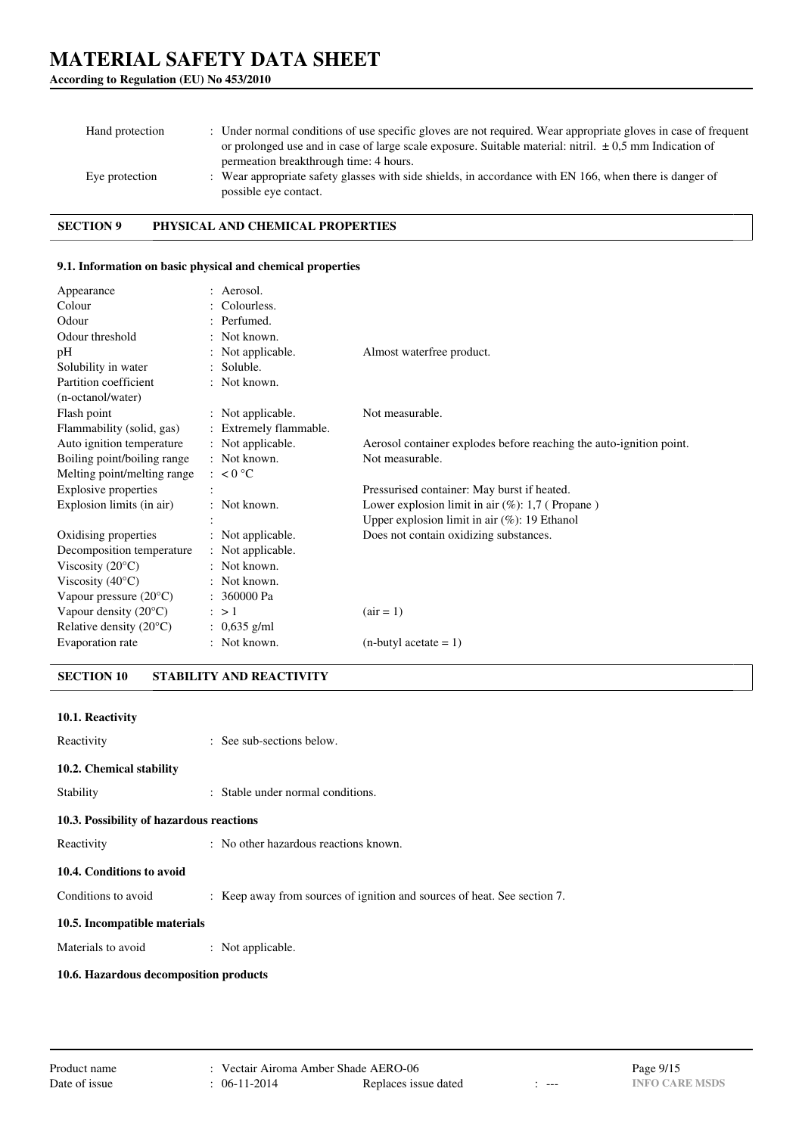| Hand protection | : Under normal conditions of use specific gloves are not required. Wear appropriate gloves in case of frequent<br>or prolonged use and in case of large scale exposure. Suitable material: nitril. $\pm 0.5$ mm Indication of<br>permeation breakthrough time: 4 hours. |
|-----------------|-------------------------------------------------------------------------------------------------------------------------------------------------------------------------------------------------------------------------------------------------------------------------|
| Eye protection  | : Wear appropriate safety glasses with side shields, in accordance with EN 166, when there is danger of<br>possible eye contact.                                                                                                                                        |

**SECTION 9 PHYSICAL AND CHEMICAL PROPERTIES**

### **9.1. Information on basic physical and chemical properties**

| Appearance                       | : Aerosol.             |                                                                     |
|----------------------------------|------------------------|---------------------------------------------------------------------|
| Colour                           | : Colourless.          |                                                                     |
| Odour                            | : Perfumed.            |                                                                     |
| Odour threshold                  | : Not known.           |                                                                     |
| pH                               | : Not applicable.      | Almost waterfree product.                                           |
| Solubility in water              | $:$ Soluble.           |                                                                     |
| Partition coefficient            | : Not known.           |                                                                     |
| (n-octanol/water)                |                        |                                                                     |
| Flash point                      | : Not applicable.      | Not measurable.                                                     |
| Flammability (solid, gas)        | : Extremely flammable. |                                                                     |
| Auto ignition temperature        | : Not applicable.      | Aerosol container explodes before reaching the auto-ignition point. |
| Boiling point/boiling range      | $:$ Not known.         | Not measurable.                                                     |
| Melting point/melting range      | : $< 0$ °C             |                                                                     |
| <b>Explosive properties</b>      |                        | Pressurised container: May burst if heated.                         |
| Explosion limits (in air)        | : Not known.           | Lower explosion limit in air $(\%)$ : 1,7 (Propane)                 |
|                                  |                        | Upper explosion limit in air $(\%)$ : 19 Ethanol                    |
| Oxidising properties             | : Not applicable.      | Does not contain oxidizing substances.                              |
| Decomposition temperature        | : Not applicable.      |                                                                     |
| Viscosity $(20^{\circ}C)$        | $:$ Not known.         |                                                                     |
| Viscosity $(40^{\circ}C)$        | : Not known.           |                                                                     |
| Vapour pressure $(20^{\circ}C)$  | : 360000 Pa            |                                                                     |
| Vapour density $(20^{\circ}C)$   | $\therefore$ > 1       | $\arctan 1$                                                         |
| Relative density $(20^{\circ}C)$ | : $0.635$ g/ml         |                                                                     |
| Evaporation rate                 | : Not known.           | $(n$ -butyl acetate = 1)                                            |

**SECTION 10 STABILITY AND REACTIVITY**

**10.6. Hazardous decomposition products**

| 10.1. Reactivity                         |                                                                          |
|------------------------------------------|--------------------------------------------------------------------------|
| Reactivity                               | : See sub-sections below.                                                |
| 10.2. Chemical stability                 |                                                                          |
| Stability                                | : Stable under normal conditions.                                        |
| 10.3. Possibility of hazardous reactions |                                                                          |
| Reactivity                               | : No other hazardous reactions known.                                    |
| 10.4. Conditions to avoid                |                                                                          |
| Conditions to avoid                      | : Keep away from sources of ignition and sources of heat. See section 7. |
| 10.5. Incompatible materials             |                                                                          |
| Materials to avoid                       | : Not applicable.                                                        |
|                                          |                                                                          |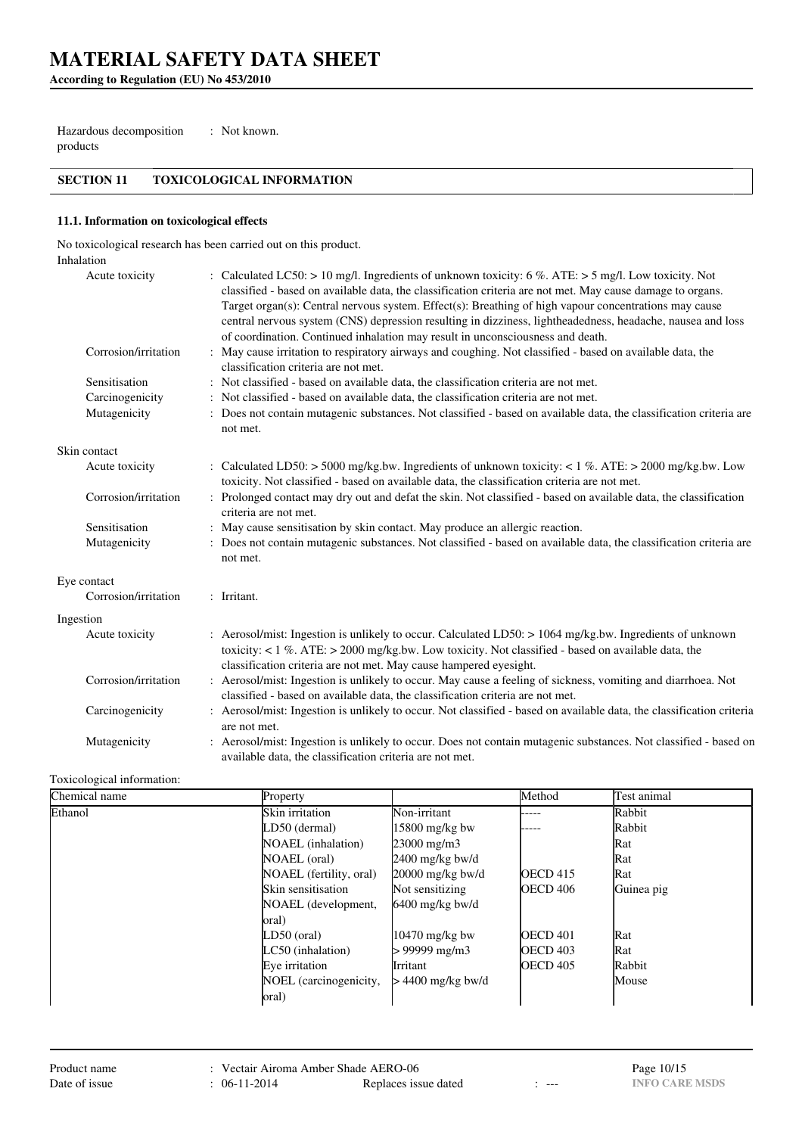**According to Regulation (EU) No 453/2010**

Hazardous decomposition products : Not known.

## **SECTION 11 TOXICOLOGICAL INFORMATION**

### **11.1. Information on toxicological effects**

No toxicological research has been carried out on this product.

| Inhalation           |                                                                                                                                                                                                                                                                                                                                                                                                                                                                                                                             |
|----------------------|-----------------------------------------------------------------------------------------------------------------------------------------------------------------------------------------------------------------------------------------------------------------------------------------------------------------------------------------------------------------------------------------------------------------------------------------------------------------------------------------------------------------------------|
| Acute toxicity       | : Calculated LC50: > 10 mg/l. Ingredients of unknown toxicity: 6 %. ATE: > 5 mg/l. Low toxicity. Not<br>classified - based on available data, the classification criteria are not met. May cause damage to organs.<br>Target organ(s): Central nervous system. Effect(s): Breathing of high vapour concentrations may cause<br>central nervous system (CNS) depression resulting in dizziness, lightheadedness, headache, nausea and loss<br>of coordination. Continued inhalation may result in unconsciousness and death. |
| Corrosion/irritation | : May cause irritation to respiratory airways and coughing. Not classified - based on available data, the<br>classification criteria are not met.                                                                                                                                                                                                                                                                                                                                                                           |
| Sensitisation        | : Not classified - based on available data, the classification criteria are not met.                                                                                                                                                                                                                                                                                                                                                                                                                                        |
| Carcinogenicity      | : Not classified - based on available data, the classification criteria are not met.                                                                                                                                                                                                                                                                                                                                                                                                                                        |
| Mutagenicity         | : Does not contain mutagenic substances. Not classified - based on available data, the classification criteria are<br>not met.                                                                                                                                                                                                                                                                                                                                                                                              |
| Skin contact         |                                                                                                                                                                                                                                                                                                                                                                                                                                                                                                                             |
| Acute toxicity       | : Calculated LD50: > 5000 mg/kg.bw. Ingredients of unknown toxicity: < 1 %. ATE: > 2000 mg/kg.bw. Low<br>toxicity. Not classified - based on available data, the classification criteria are not met.                                                                                                                                                                                                                                                                                                                       |
| Corrosion/irritation | : Prolonged contact may dry out and defat the skin. Not classified - based on available data, the classification<br>criteria are not met.                                                                                                                                                                                                                                                                                                                                                                                   |
| Sensitisation        | : May cause sensitisation by skin contact. May produce an allergic reaction.                                                                                                                                                                                                                                                                                                                                                                                                                                                |
| Mutagenicity         | : Does not contain mutagenic substances. Not classified - based on available data, the classification criteria are<br>not met.                                                                                                                                                                                                                                                                                                                                                                                              |
| Eye contact          |                                                                                                                                                                                                                                                                                                                                                                                                                                                                                                                             |
| Corrosion/irritation | : Irritant.                                                                                                                                                                                                                                                                                                                                                                                                                                                                                                                 |
| Ingestion            |                                                                                                                                                                                                                                                                                                                                                                                                                                                                                                                             |
| Acute toxicity       | : Aerosol/mist: Ingestion is unlikely to occur. Calculated LD50: > 1064 mg/kg.bw. Ingredients of unknown<br>toxicity: $< 1 \%$ . ATE: $> 2000$ mg/kg.bw. Low toxicity. Not classified - based on available data, the<br>classification criteria are not met. May cause hampered eyesight.                                                                                                                                                                                                                                   |
| Corrosion/irritation | : Aerosol/mist: Ingestion is unlikely to occur. May cause a feeling of sickness, vomiting and diarrhoea. Not<br>classified - based on available data, the classification criteria are not met.                                                                                                                                                                                                                                                                                                                              |
| Carcinogenicity      | : Aerosol/mist: Ingestion is unlikely to occur. Not classified - based on available data, the classification criteria<br>are not met.                                                                                                                                                                                                                                                                                                                                                                                       |
| Mutagenicity         | : Aerosol/mist: Ingestion is unlikely to occur. Does not contain mutagenic substances. Not classified - based on<br>available data, the classification criteria are not met.                                                                                                                                                                                                                                                                                                                                                |

### Toxicological information:

| Chemical name | Property                  |                      | Method              | Test animal |
|---------------|---------------------------|----------------------|---------------------|-------------|
| Ethanol       | Skin irritation           | Non-irritant         | -----               | Rabbit      |
|               | LD50 (dermal)             | 15800 mg/kg bw       |                     | Rabbit      |
|               | <b>NOAEL</b> (inhalation) | $23000 \text{ mg/m}$ |                     | Rat         |
|               | NOAEL (oral)              | $2400$ mg/kg bw/d    |                     | Rat         |
|               | NOAEL (fertility, oral)   | $20000$ mg/kg bw/d   | <b>OECD</b> 415     | Rat         |
|               | Skin sensitisation        | Not sensitizing      | <b>OECD 406</b>     | Guinea pig  |
|               | NOAEL (development,       | $6400$ mg/kg bw/d    |                     |             |
|               | oral)                     |                      |                     |             |
|               | LD50 (oral)               | $10470$ mg/kg bw     | <b>OECD 401</b>     | Rat         |
|               | LC50 (inhalation)         | > 99999 mg/m3        | <b>OECD 403</b>     | Rat         |
|               | Eve irritation            | Irritant             | OECD <sub>405</sub> | Rabbit      |
|               | NOEL (carcinogenicity,    | > 4400 mg/kg bw/d    |                     | Mouse       |
|               | oral)                     |                      |                     |             |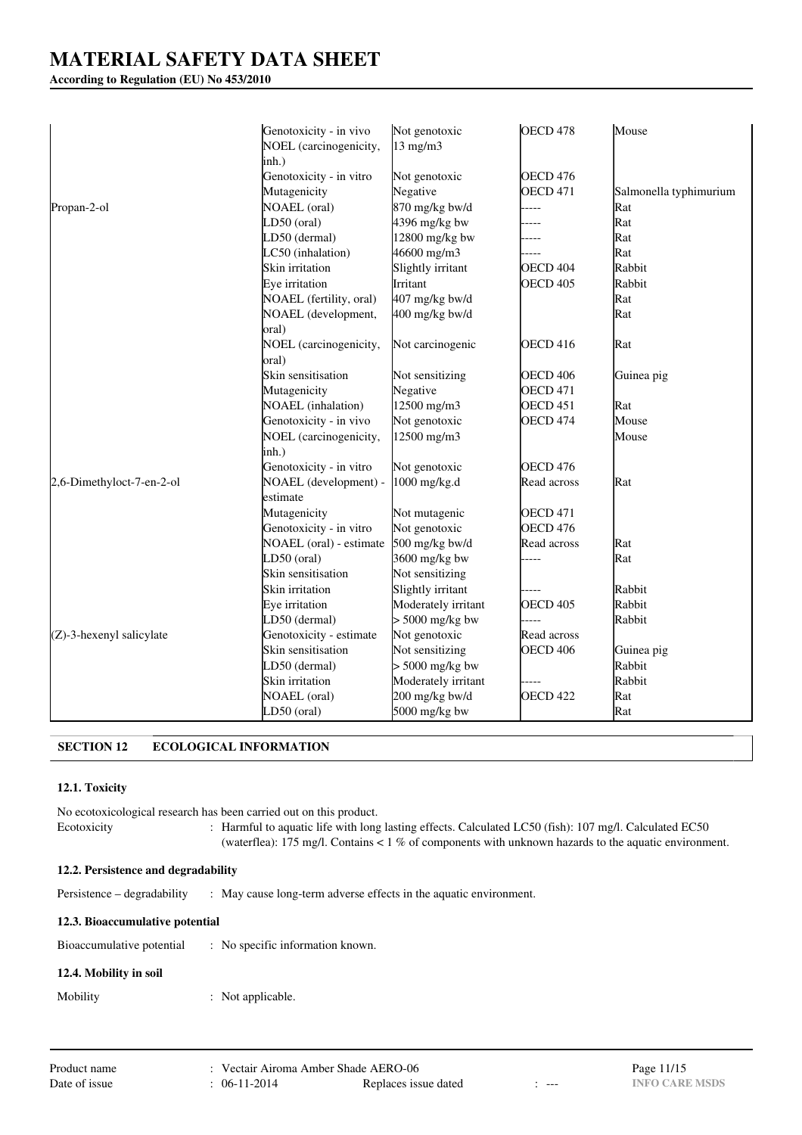## **According to Regulation (EU) No 453/2010**

|                             | Genotoxicity - in vivo<br>NOEL (carcinogenicity, | Not genotoxic<br>$13 \text{ mg/m}$ | OECD <sub>478</sub> | Mouse                  |
|-----------------------------|--------------------------------------------------|------------------------------------|---------------------|------------------------|
|                             | inh.)                                            |                                    |                     |                        |
|                             | Genotoxicity - in vitro                          | Not genotoxic                      | OECD 476            |                        |
|                             | Mutagenicity                                     | Negative                           | <b>OECD 471</b>     | Salmonella typhimurium |
| Propan-2-ol                 | NOAEL (oral)                                     | 870 mg/kg bw/d                     | ----                | Rat                    |
|                             | LD50 (oral)                                      | 4396 mg/kg bw                      |                     | Rat                    |
|                             | LD50 (dermal)                                    | 12800 mg/kg bw                     |                     | Rat                    |
|                             | LC50 (inhalation)                                | 46600 mg/m3                        |                     | Rat                    |
|                             | Skin irritation                                  | Slightly irritant                  | OECD 404            | Rabbit                 |
|                             | Eye irritation                                   | Irritant                           | <b>OECD 405</b>     | Rabbit                 |
|                             | NOAEL (fertility, oral)                          | 407 mg/kg bw/d                     |                     | Rat                    |
|                             | NOAEL (development,<br>oral)                     | 400 mg/kg bw/d                     |                     | Rat                    |
|                             | NOEL (carcinogenicity,<br>oral)                  | Not carcinogenic                   | <b>OECD 416</b>     | Rat                    |
|                             | Skin sensitisation                               | Not sensitizing                    | <b>OECD 406</b>     | Guinea pig             |
|                             | Mutagenicity                                     | Negative                           | <b>OECD 471</b>     |                        |
|                             | NOAEL (inhalation)                               | 12500 mg/m3                        | <b>OECD 451</b>     | Rat                    |
|                             | Genotoxicity - in vivo                           | Not genotoxic                      | OECD <sub>474</sub> | Mouse                  |
|                             | NOEL (carcinogenicity,                           | 12500 mg/m3                        |                     | Mouse                  |
|                             | inh.)                                            |                                    |                     |                        |
|                             | Genotoxicity - in vitro                          | Not genotoxic                      | <b>OECD 476</b>     |                        |
| 2,6-Dimethyloct-7-en-2-ol   | NOAEL (development) -                            | 1000 mg/kg.d                       | Read across         | Rat                    |
|                             | estimate                                         |                                    |                     |                        |
|                             | Mutagenicity                                     | Not mutagenic                      | <b>OECD 471</b>     |                        |
|                             | Genotoxicity - in vitro                          | Not genotoxic                      | OECD <sub>476</sub> |                        |
|                             | NOAEL (oral) - estimate                          | 500 mg/kg bw/d                     | Read across         | Rat                    |
|                             | $LD50$ (oral)                                    | 3600 mg/kg bw                      |                     | Rat                    |
|                             | Skin sensitisation                               | Not sensitizing                    |                     |                        |
|                             | Skin irritation                                  | Slightly irritant                  |                     | Rabbit                 |
|                             | Eye irritation                                   | Moderately irritant                | OECD 405            | Rabbit                 |
|                             | LD50 (dermal)                                    | $> 5000$ mg/kg bw                  |                     | Rabbit                 |
| $(Z)$ -3-hexenyl salicylate | Genotoxicity - estimate                          | Not genotoxic                      | Read across         |                        |
|                             | Skin sensitisation                               | Not sensitizing                    | <b>OECD 406</b>     | Guinea pig             |
|                             | LD50 (dermal)                                    | $> 5000$ mg/kg bw                  |                     | Rabbit                 |
|                             | Skin irritation                                  | Moderately irritant                |                     | Rabbit                 |
|                             | <b>NOAEL</b> (oral)                              | 200 mg/kg bw/d                     | <b>OECD 422</b>     | Rat                    |
|                             | LD50 (oral)                                      | 5000 mg/kg bw                      |                     | Rat                    |

## **SECTION 12 ECOLOGICAL INFORMATION**

### **12.1. Toxicity**

No ecotoxicological research has been carried out on this product. Ecotoxicity : Harmful to aquatic life with long lasting effects. Calculated LC50 (fish): 107 mg/l. Calculated EC50 (waterflea): 175 mg/l. Contains < 1 % of components with unknown hazards to the aquatic environment.

### **12.2. Persistence and degradability**

Persistence – degradability : May cause long-term adverse effects in the aquatic environment.

### **12.3. Bioaccumulative potential**

| Bioaccumulative potential | No specific information known. |
|---------------------------|--------------------------------|
|---------------------------|--------------------------------|

## **12.4. Mobility in soil**

Mobility : Not applicable.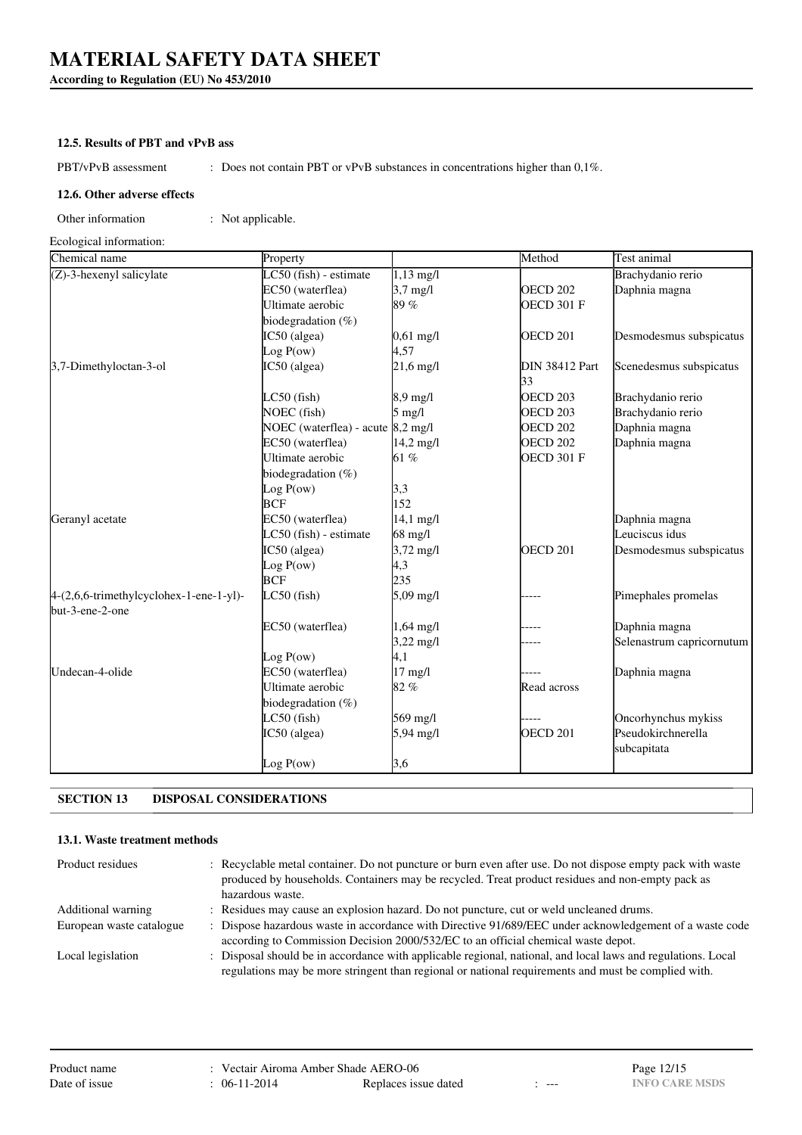**According to Regulation (EU) No 453/2010**

### **12.5. Results of PBT and vPvB ass**

PBT/vPvB assessment : Does not contain PBT or vPvB substances in concentrations higher than 0,1%.

#### **12.6. Other adverse effects**

Other information : Not applicable.

Ecological information:

| Chemical name                           | Property                          |                     | Method                      | Test animal               |
|-----------------------------------------|-----------------------------------|---------------------|-----------------------------|---------------------------|
| (Z)-3-hexenyl salicylate                | $LC50$ (fish) - estimate          | $1,13 \text{ mg/l}$ |                             | Brachydanio rerio         |
|                                         | EC50 (waterflea)                  | $3,7$ mg/l          | <b>OECD 202</b>             | Daphnia magna             |
|                                         | Ultimate aerobic                  | 89%                 | <b>OECD 301 F</b>           |                           |
|                                         | biodegradation (%)                |                     |                             |                           |
|                                         | IC50 (algea)                      | $0,61 \text{ mg/l}$ | OECD <sub>201</sub>         | Desmodesmus subspicatus   |
|                                         | Log P(ow)                         | 4,57                |                             |                           |
| 3,7-Dimethyloctan-3-ol                  | IC50 (algea)                      | $21,6$ mg/l         | <b>DIN 38412 Part</b><br>33 | Scenedesmus subspicatus   |
|                                         | $LC50$ (fish)                     | 8,9 mg/l            | <b>OECD 203</b>             | Brachydanio rerio         |
|                                         | NOEC (fish)                       | $5 \text{ mg/l}$    | OECD <sub>203</sub>         | Brachydanio rerio         |
|                                         | NOEC (waterflea) - acute 8,2 mg/l |                     | <b>OECD 202</b>             | Daphnia magna             |
|                                         | EC50 (waterflea)                  | $14,2 \text{ mg}/1$ | <b>OECD 202</b>             | Daphnia magna             |
|                                         | Ultimate aerobic                  | 61 %                | OECD 301 F                  |                           |
|                                         | biodegradation (%)                |                     |                             |                           |
|                                         | Log P(ow)                         | 3,3                 |                             |                           |
|                                         | <b>BCF</b>                        | 152                 |                             |                           |
| Geranyl acetate                         | EC50 (waterflea)                  | $14,1 \text{ mg}/1$ |                             | Daphnia magna             |
|                                         | LC50 (fish) - estimate            | 68 mg/l             |                             | Leuciscus idus            |
|                                         | IC50 (algea)                      | $3,72$ mg/l         | OECD <sub>201</sub>         | Desmodesmus subspicatus   |
|                                         | Log P(ow)                         | 4,3                 |                             |                           |
|                                         | <b>BCF</b>                        | 235                 |                             |                           |
| 4-(2,6,6-trimethylcyclohex-1-ene-1-yl)- | $LC50$ (fish)                     | $5,09 \text{ mg/l}$ |                             | Pimephales promelas       |
| but-3-ene-2-one                         |                                   |                     |                             |                           |
|                                         | EC50 (waterflea)                  | $1,64 \text{ mg}/1$ |                             | Daphnia magna             |
|                                         |                                   | $3,22 \text{ mg/l}$ |                             | Selenastrum capricornutum |
|                                         | Log P(ow)                         | 4,1                 |                             |                           |
| Undecan-4-olide                         | EC50 (waterflea)                  | $17$ mg/l           |                             | Daphnia magna             |
|                                         | Ultimate aerobic                  | 82%                 | Read across                 |                           |
|                                         | biodegradation (%)                |                     |                             |                           |
|                                         | $LC50$ (fish)                     | 569 mg/l            |                             | Oncorhynchus mykiss       |
|                                         | IC50 (algea)                      | 5,94 mg/l           | OECD <sub>201</sub>         | Pseudokirchnerella        |
|                                         |                                   |                     |                             | subcapitata               |
|                                         | Log P(ow)                         | 3,6                 |                             |                           |

## **SECTION 13 DISPOSAL CONSIDERATIONS**

## **13.1. Waste treatment methods**

| Product residues          | : Recyclable metal container. Do not puncture or burn even after use. Do not dispose empty pack with waste<br>produced by households. Containers may be recycled. Treat product residues and non-empty pack as<br>hazardous waste. |
|---------------------------|------------------------------------------------------------------------------------------------------------------------------------------------------------------------------------------------------------------------------------|
| <b>Additional warning</b> | : Residues may cause an explosion hazard. Do not puncture, cut or weld uncleaned drums.                                                                                                                                            |
| European waste catalogue  | : Dispose hazardous waste in accordance with Directive 91/689/EEC under acknowledgement of a waste code                                                                                                                            |
|                           | according to Commission Decision 2000/532/EC to an official chemical waste depot.                                                                                                                                                  |
| Local legislation         | : Disposal should be in accordance with applicable regional, national, and local laws and regulations. Local                                                                                                                       |
|                           | regulations may be more stringent than regional or national requirements and must be complied with.                                                                                                                                |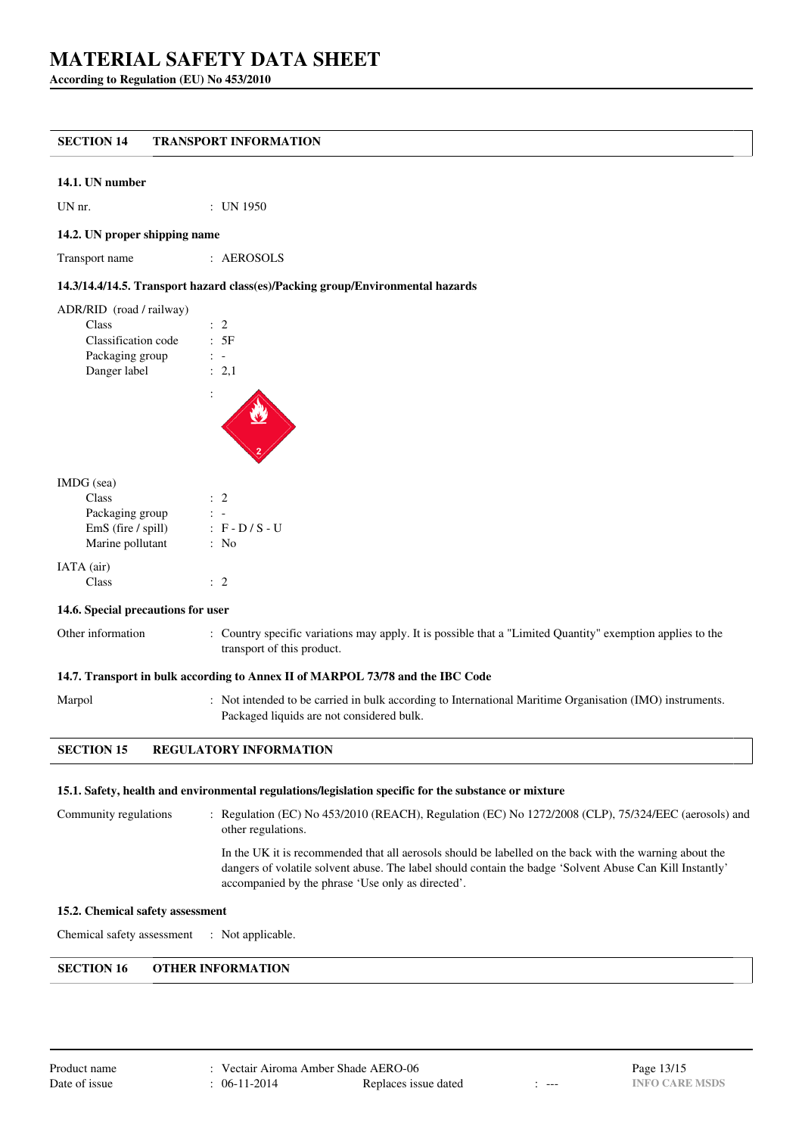**According to Regulation (EU) No 453/2010**

## **SECTION 14 TRANSPORT INFORMATION**

#### **14.1. UN number**

UN nr. : UN 1950

#### **14.2. UN proper shipping name**

Transport name : AEROSOLS

#### **14.3/14.4/14.5. Transport hazard class(es)/Packing group/Environmental hazards**

| ADR/RID (road / railway) |                |
|--------------------------|----------------|
| Class                    | $\therefore$ 2 |
| Classification code      | .5F            |
| Packaging group          |                |
| Danger label             | : 2.1          |
|                          |                |

#### IMDG (sea)

| Class              | $\therefore$ 2    |
|--------------------|-------------------|
| Packaging group    |                   |
| EmS (fire / spill) | $: F - D / S - U$ |
| Marine pollutant   | : No              |
| IATA (air)         |                   |
| Class              |                   |

#### **14.6. Special precautions for user**

| Other informa |
|---------------|
|               |

thermation : Country specific variations may apply. It is possible that a "Limited Quantity" exemption applies to the transport of this product.

#### **14.7. Transport in bulk according to Annex II of MARPOL 73/78 and the IBC Code**

Marpol : Not intended to be carried in bulk according to International Maritime Organisation (IMO) instruments. Packaged liquids are not considered bulk.

#### **SECTION 15 REGULATORY INFORMATION**

#### **15.1. Safety, health and environmental regulations/legislation specific for the substance or mixture**

Community regulations : Regulation (EC) No 453/2010 (REACH), Regulation (EC) No 1272/2008 (CLP), 75/324/EEC (aerosols) and other regulations. In the UK it is recommended that all aerosols should be labelled on the back with the warning about the dangers of volatile solvent abuse. The label should contain the badge 'Solvent Abuse Can Kill Instantly' accompanied by the phrase 'Use only as directed'.

#### **15.2. Chemical safety assessment**

Chemical safety assessment : Not applicable.

## **SECTION 16 OTHER INFORMATION**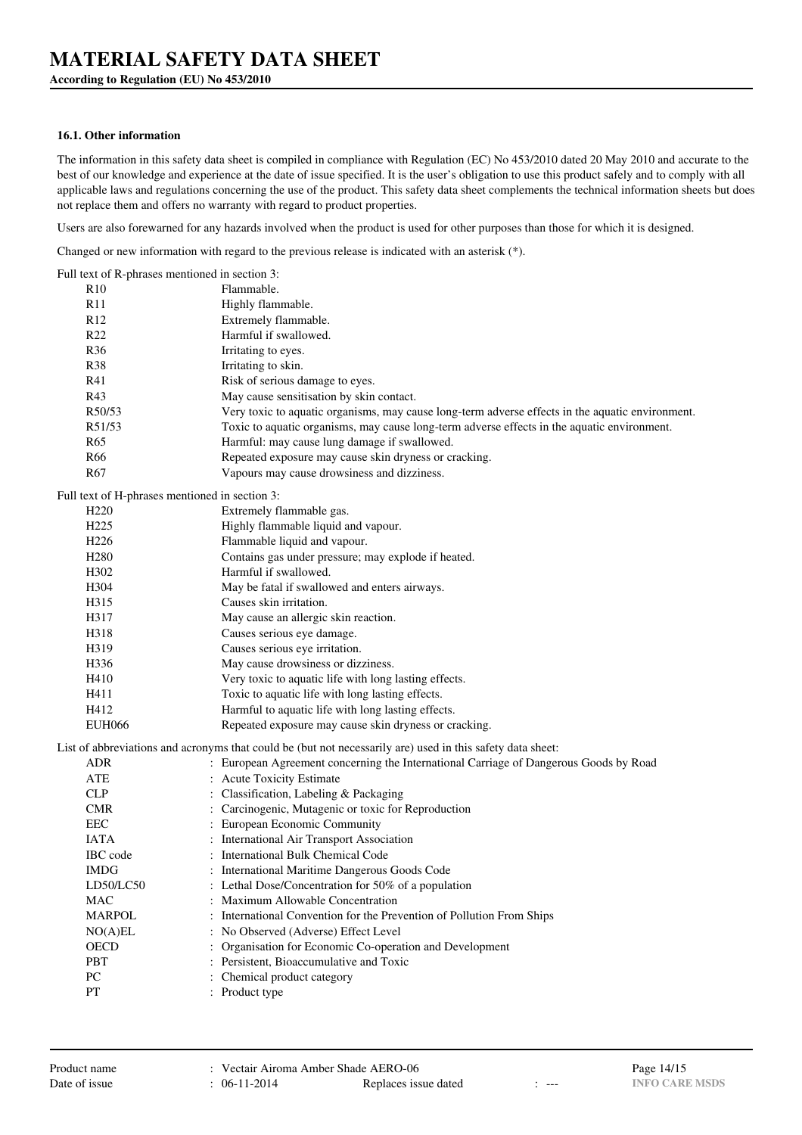**According to Regulation (EU) No 453/2010**

### **16.1. Other information**

The information in this safety data sheet is compiled in compliance with Regulation (EC) No 453/2010 dated 20 May 2010 and accurate to the best of our knowledge and experience at the date of issue specified. It is the user's obligation to use this product safely and to comply with all applicable laws and regulations concerning the use of the product. This safety data sheet complements the technical information sheets but does not replace them and offers no warranty with regard to product properties.

Users are also forewarned for any hazards involved when the product is used for other purposes than those for which it is designed.

Changed or new information with regard to the previous release is indicated with an asterisk (\*).

| Full text of R-phrases mentioned in section 3: |                                                                                                            |
|------------------------------------------------|------------------------------------------------------------------------------------------------------------|
| R10                                            | Flammable.                                                                                                 |
| R11                                            | Highly flammable.                                                                                          |
| R <sub>12</sub>                                | Extremely flammable.                                                                                       |
| R <sub>22</sub>                                | Harmful if swallowed.                                                                                      |
| <b>R36</b>                                     | Irritating to eyes.                                                                                        |
| <b>R38</b>                                     | Irritating to skin.                                                                                        |
| R41                                            | Risk of serious damage to eyes.                                                                            |
| R43                                            | May cause sensitisation by skin contact.                                                                   |
| R50/53                                         | Very toxic to aquatic organisms, may cause long-term adverse effects in the aquatic environment.           |
| R51/53                                         | Toxic to aquatic organisms, may cause long-term adverse effects in the aquatic environment.                |
| R <sub>65</sub>                                | Harmful: may cause lung damage if swallowed.                                                               |
| R66                                            | Repeated exposure may cause skin dryness or cracking.                                                      |
| R <sub>67</sub>                                | Vapours may cause drowsiness and dizziness.                                                                |
| Full text of H-phrases mentioned in section 3: |                                                                                                            |
| H <sub>220</sub>                               | Extremely flammable gas.                                                                                   |
| H <sub>225</sub>                               | Highly flammable liquid and vapour.                                                                        |
| H <sub>226</sub>                               | Flammable liquid and vapour.                                                                               |
| H <sub>280</sub>                               | Contains gas under pressure; may explode if heated.                                                        |
| H <sub>3</sub> 02                              | Harmful if swallowed.                                                                                      |
| H <sub>304</sub>                               | May be fatal if swallowed and enters airways.                                                              |
| H315                                           | Causes skin irritation.                                                                                    |
| H317                                           | May cause an allergic skin reaction.                                                                       |
| H318                                           | Causes serious eye damage.                                                                                 |
| H319                                           | Causes serious eye irritation.                                                                             |
| H336                                           | May cause drowsiness or dizziness.                                                                         |
| H410                                           | Very toxic to aquatic life with long lasting effects.                                                      |
| H411                                           | Toxic to aquatic life with long lasting effects.                                                           |
| H412                                           | Harmful to aquatic life with long lasting effects.                                                         |
| <b>EUH066</b>                                  | Repeated exposure may cause skin dryness or cracking.                                                      |
|                                                | List of abbreviations and acronyms that could be (but not necessarily are) used in this safety data sheet: |
| <b>ADR</b>                                     | : European Agreement concerning the International Carriage of Dangerous Goods by Road                      |
| ATE                                            | : Acute Toxicity Estimate                                                                                  |
| <b>CLP</b>                                     | : Classification, Labeling & Packaging                                                                     |
| <b>CMR</b>                                     | : Carcinogenic, Mutagenic or toxic for Reproduction                                                        |
| <b>EEC</b>                                     | : European Economic Community                                                                              |
| <b>IATA</b>                                    | : International Air Transport Association                                                                  |
| IBC code                                       | : International Bulk Chemical Code                                                                         |
| <b>IMDG</b>                                    | : International Maritime Dangerous Goods Code                                                              |
| LD50/LC50                                      | : Lethal Dose/Concentration for 50% of a population                                                        |
| <b>MAC</b>                                     | Maximum Allowable Concentration                                                                            |
| <b>MARPOL</b>                                  | International Convention for the Prevention of Pollution From Ships                                        |
| NO(A)EL                                        | No Observed (Adverse) Effect Level                                                                         |
| <b>OECD</b>                                    | Organisation for Economic Co-operation and Development                                                     |
| PBT                                            | : Persistent, Bioaccumulative and Toxic                                                                    |
| PC                                             | : Chemical product category                                                                                |
| PT                                             | : Product type                                                                                             |
|                                                |                                                                                                            |